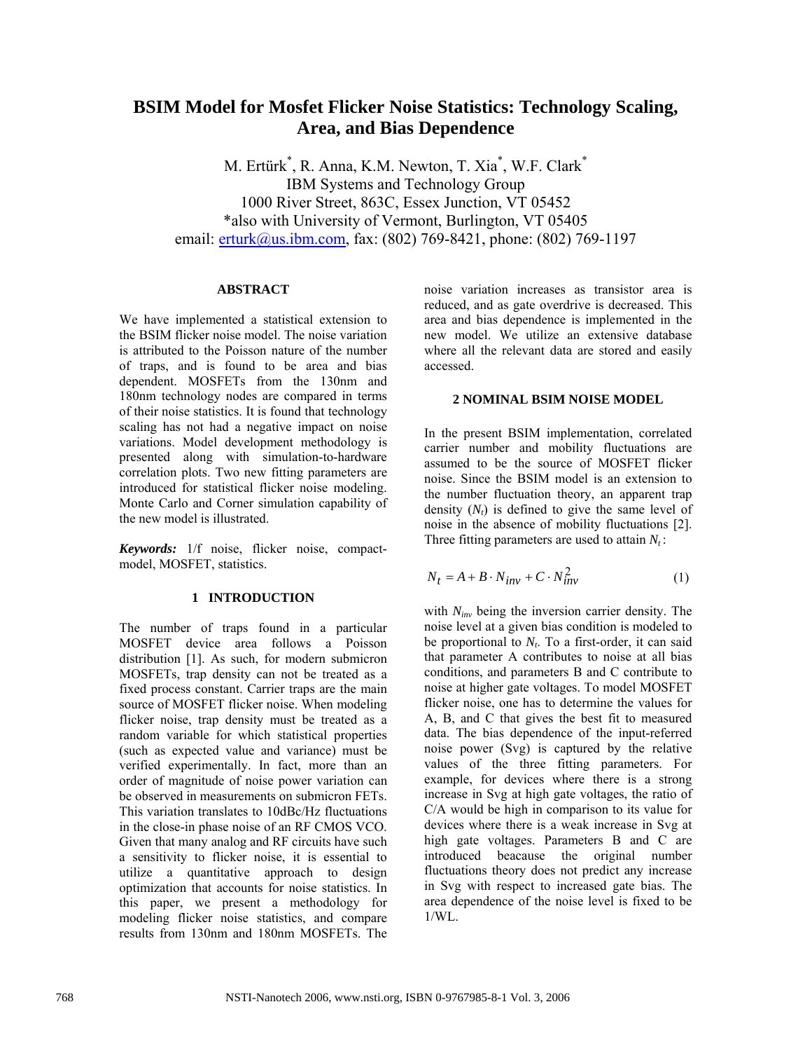# **BSIM Model for Mosfet Flicker Noise Statistics: Technology Scaling, Area, and Bias Dependence**

M. Ertürk\* , R. Anna, K.M. Newton, T. Xia\* , W.F. Clark\* IBM Systems and Technology Group 1000 River Street, 863C, Essex Junction, VT 05452 \*also with University of Vermont, Burlington, VT 05405 email: **erturk@us.ibm.com**, fax: (802) 769-8421, phone: (802) 769-1197

#### **ABSTRACT**

We have implemented a statistical extension to the BSIM flicker noise model. The noise variation is attributed to the Poisson nature of the number of traps, and is found to be area and bias dependent. MOSFETs from the 130nm and 180nm technology nodes are compared in terms of their noise statistics. It is found that technology scaling has not had a negative impact on noise variations. Model development methodology is presented along with simulation-to-hardware correlation plots. Two new fitting parameters are introduced for statistical flicker noise modeling. Monte Carlo and Corner simulation capability of the new model is illustrated.

*Keywords:* 1/f noise, flicker noise, compactmodel, MOSFET, statistics.

# **1 INTRODUCTION**

The number of traps found in a particular MOSFET device area follows a Poisson distribution [1]. As such, for modern submicron MOSFETs, trap density can not be treated as a fixed process constant. Carrier traps are the main source of MOSFET flicker noise. When modeling flicker noise, trap density must be treated as a random variable for which statistical properties (such as expected value and variance) must be verified experimentally. In fact, more than an order of magnitude of noise power variation can be observed in measurements on submicron FETs. This variation translates to 10dBc/Hz fluctuations in the close-in phase noise of an RF CMOS VCO. Given that many analog and RF circuits have such a sensitivity to flicker noise, it is essential to utilize a quantitative approach to design optimization that accounts for noise statistics. In this paper, we present a methodology for modeling flicker noise statistics, and compare results from 130nm and 180nm MOSFETs. The

noise variation increases as transistor area is reduced, and as gate overdrive is decreased. This area and bias dependence is implemented in the new model. We utilize an extensive database where all the relevant data are stored and easily accessed.

#### **2 NOMINAL BSIM NOISE MODEL**

In the present BSIM implementation, correlated carrier number and mobility fluctuations are assumed to be the source of MOSFET flicker noise. Since the BSIM model is an extension to the number fluctuation theory, an apparent trap density  $(N_t)$  is defined to give the same level of noise in the absence of mobility fluctuations [2]. Three fitting parameters are used to attain  $N_t$ :

$$
N_t = A + B \cdot N_{inv} + C \cdot N_{inv}^2 \tag{1}
$$

with *Ninv* being the inversion carrier density. The noise level at a given bias condition is modeled to be proportional to  $N_t$ . To a first-order, it can said that parameter A contributes to noise at all bias conditions, and parameters B and C contribute to noise at higher gate voltages. To model MOSFET flicker noise, one has to determine the values for A, B, and C that gives the best fit to measured data. The bias dependence of the input-referred noise power (Svg) is captured by the relative values of the three fitting parameters. For example, for devices where there is a strong increase in Svg at high gate voltages, the ratio of C/A would be high in comparison to its value for devices where there is a weak increase in Svg at high gate voltages. Parameters B and C are introduced beacause the original number fluctuations theory does not predict any increase in Svg with respect to increased gate bias. The area dependence of the noise level is fixed to be  $1/WL$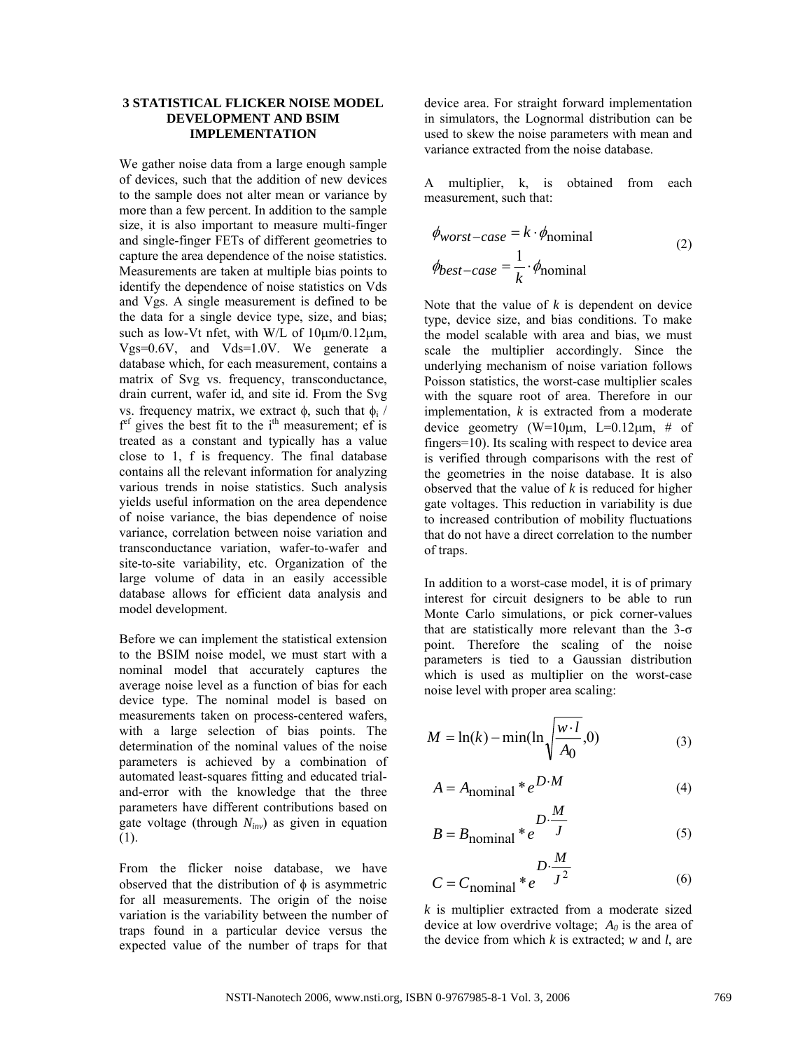# **3 STATISTICAL FLICKER NOISE MODEL DEVELOPMENT AND BSIM IMPLEMENTATION**

We gather noise data from a large enough sample of devices, such that the addition of new devices to the sample does not alter mean or variance by more than a few percent. In addition to the sample size, it is also important to measure multi-finger and single-finger FETs of different geometries to capture the area dependence of the noise statistics. Measurements are taken at multiple bias points to identify the dependence of noise statistics on Vds and Vgs. A single measurement is defined to be the data for a single device type, size, and bias; such as low-Vt nfet, with W/L of  $10 \mu m/0.12 \mu m$ , Vgs=0.6V, and Vds=1.0V. We generate a database which, for each measurement, contains a matrix of Svg vs. frequency, transconductance, drain current, wafer id, and site id. From the Svg vs. frequency matrix, we extract  $φ$ , such that  $φ$ <sub>i</sub> / f<sup>ef</sup> gives the best fit to the i<sup>th</sup> measurement; ef is treated as a constant and typically has a value close to 1, f is frequency. The final database contains all the relevant information for analyzing various trends in noise statistics. Such analysis yields useful information on the area dependence of noise variance, the bias dependence of noise variance, correlation between noise variation and transconductance variation, wafer-to-wafer and site-to-site variability, etc. Organization of the large volume of data in an easily accessible database allows for efficient data analysis and model development.

Before we can implement the statistical extension to the BSIM noise model, we must start with a nominal model that accurately captures the average noise level as a function of bias for each device type. The nominal model is based on measurements taken on process-centered wafers, with a large selection of bias points. The determination of the nominal values of the noise parameters is achieved by a combination of automated least-squares fitting and educated trialand-error with the knowledge that the three parameters have different contributions based on gate voltage (through *Ninv*) as given in equation (1).

From the flicker noise database, we have observed that the distribution of  $\phi$  is asymmetric for all measurements. The origin of the noise variation is the variability between the number of traps found in a particular device versus the expected value of the number of traps for that device area. For straight forward implementation in simulators, the Lognormal distribution can be used to skew the noise parameters with mean and variance extracted from the noise database.

A multiplier, k, is obtained from each measurement, such that:

$$
\phi_{worst-case} = k \cdot \phi_{nominal}
$$
\n
$$
\phi_{best-case} = \frac{1}{k} \cdot \phi_{nominal}
$$
\n(2)

Note that the value of *k* is dependent on device type, device size, and bias conditions. To make the model scalable with area and bias, we must scale the multiplier accordingly. Since the underlying mechanism of noise variation follows Poisson statistics, the worst-case multiplier scales with the square root of area. Therefore in our implementation, *k* is extracted from a moderate device geometry (W=10 $\mu$ m, L=0.12 $\mu$ m, # of fingers=10). Its scaling with respect to device area is verified through comparisons with the rest of the geometries in the noise database. It is also observed that the value of *k* is reduced for higher gate voltages. This reduction in variability is due to increased contribution of mobility fluctuations that do not have a direct correlation to the number of traps.

In addition to a worst-case model, it is of primary interest for circuit designers to be able to run Monte Carlo simulations, or pick corner-values that are statistically more relevant than the 3-σ point. Therefore the scaling of the noise parameters is tied to a Gaussian distribution which is used as multiplier on the worst-case noise level with proper area scaling:

$$
M = \ln(k) - \min(\ln\sqrt{\frac{w \cdot l}{A_0}}, 0)
$$
 (3)

$$
A = Anominal * eD M
$$
 (4)

$$
B = B_{\text{nominal}} * e^{\frac{D \cdot \frac{M}{J}}{J}}
$$
 (5)

$$
C = C_{\text{nominal}} * e^{\frac{D \cdot \frac{M}{J^2}}{J^2}}
$$
 (6)

*k* is multiplier extracted from a moderate sized device at low overdrive voltage;  $A_0$  is the area of the device from which *k* is extracted; *w* and *l*, are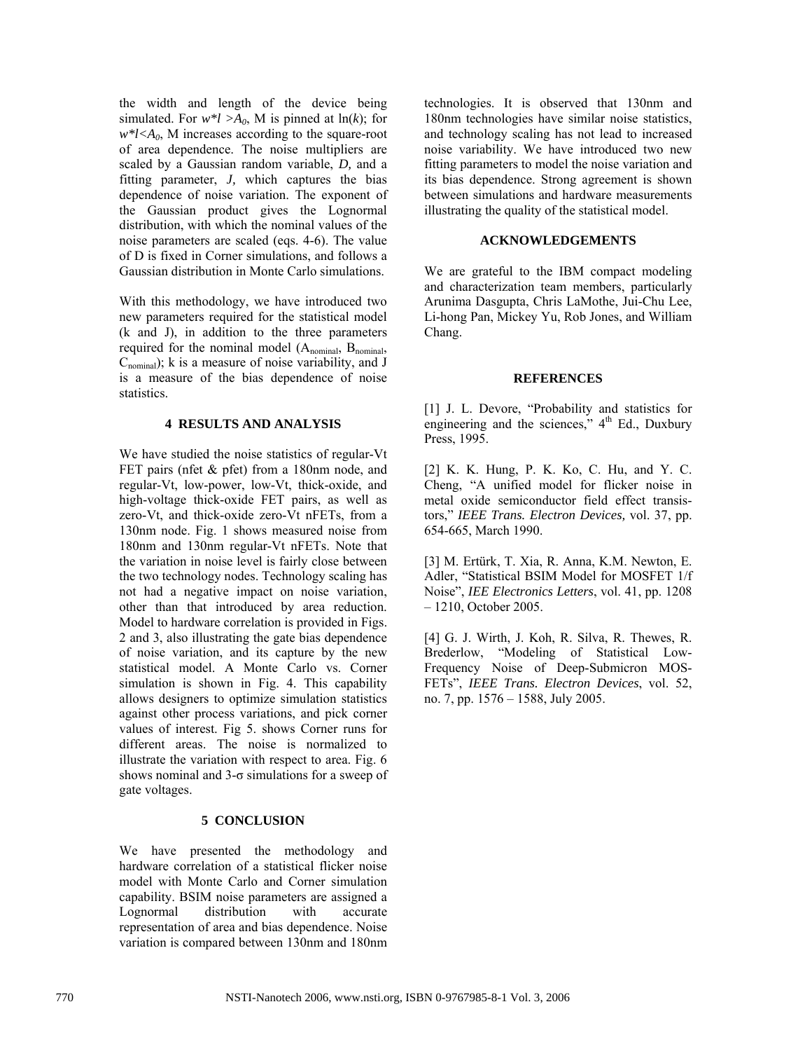the width and length of the device being simulated. For  $w^*l > A_0$ , M is pinned at  $ln(k)$ ; for  $w^*$ *l*< $A_0$ , M increases according to the square-root of area dependence. The noise multipliers are scaled by a Gaussian random variable, *D,* and a fitting parameter, *J,* which captures the bias dependence of noise variation. The exponent of the Gaussian product gives the Lognormal distribution, with which the nominal values of the noise parameters are scaled (eqs. 4-6). The value of D is fixed in Corner simulations, and follows a Gaussian distribution in Monte Carlo simulations.

With this methodology, we have introduced two new parameters required for the statistical model (k and J), in addition to the three parameters required for the nominal model (A<sub>nominal</sub>, B<sub>nominal</sub>,  $C_{nominal}$ ); k is a measure of noise variability, and J is a measure of the bias dependence of noise statistics.

# **4 RESULTS AND ANALYSIS**

We have studied the noise statistics of regular-Vt FET pairs (nfet & pfet) from a 180nm node, and regular-Vt, low-power, low-Vt, thick-oxide, and high-voltage thick-oxide FET pairs, as well as zero-Vt, and thick-oxide zero-Vt nFETs, from a 130nm node. Fig. 1 shows measured noise from 180nm and 130nm regular-Vt nFETs. Note that the variation in noise level is fairly close between the two technology nodes. Technology scaling has not had a negative impact on noise variation, other than that introduced by area reduction. Model to hardware correlation is provided in Figs. 2 and 3, also illustrating the gate bias dependence of noise variation, and its capture by the new statistical model. A Monte Carlo vs. Corner simulation is shown in Fig. 4. This capability allows designers to optimize simulation statistics against other process variations, and pick corner values of interest. Fig 5. shows Corner runs for different areas. The noise is normalized to illustrate the variation with respect to area. Fig. 6 shows nominal and  $3-\sigma$  simulations for a sweep of gate voltages.

# **5 CONCLUSION**

We have presented the methodology and hardware correlation of a statistical flicker noise model with Monte Carlo and Corner simulation capability. BSIM noise parameters are assigned a Lognormal distribution with accurate representation of area and bias dependence. Noise variation is compared between 130nm and 180nm

technologies. It is observed that 130nm and 180nm technologies have similar noise statistics, and technology scaling has not lead to increased noise variability. We have introduced two new fitting parameters to model the noise variation and its bias dependence. Strong agreement is shown between simulations and hardware measurements illustrating the quality of the statistical model.

# **ACKNOWLEDGEMENTS**

We are grateful to the IBM compact modeling and characterization team members, particularly Arunima Dasgupta, Chris LaMothe, Jui-Chu Lee, Li-hong Pan, Mickey Yu, Rob Jones, and William Chang.

# **REFERENCES**

[1] J. L. Devore, "Probability and statistics for engineering and the sciences,"  $4<sup>th</sup>$  Ed., Duxbury Press, 1995.

[2] K. K. Hung, P. K. Ko, C. Hu, and Y. C. Cheng, "A unified model for flicker noise in metal oxide semiconductor field effect transistors," *IEEE Trans. Electron Devices,* vol. 37, pp. 654-665, March 1990.

[3] M. Ertürk, T. Xia, R. Anna, K.M. Newton, E. Adler, "Statistical BSIM Model for MOSFET 1/f Noise", *IEE Electronics Letters*, vol. 41, pp. 1208 – 1210, October 2005.

[4] G. J. Wirth, J. Koh, R. Silva, R. Thewes, R. Brederlow, "Modeling of Statistical Low-Frequency Noise of Deep-Submicron MOS-FETs", *IEEE Trans. Electron Devices*, vol. 52, no. 7, pp. 1576 – 1588, July 2005.